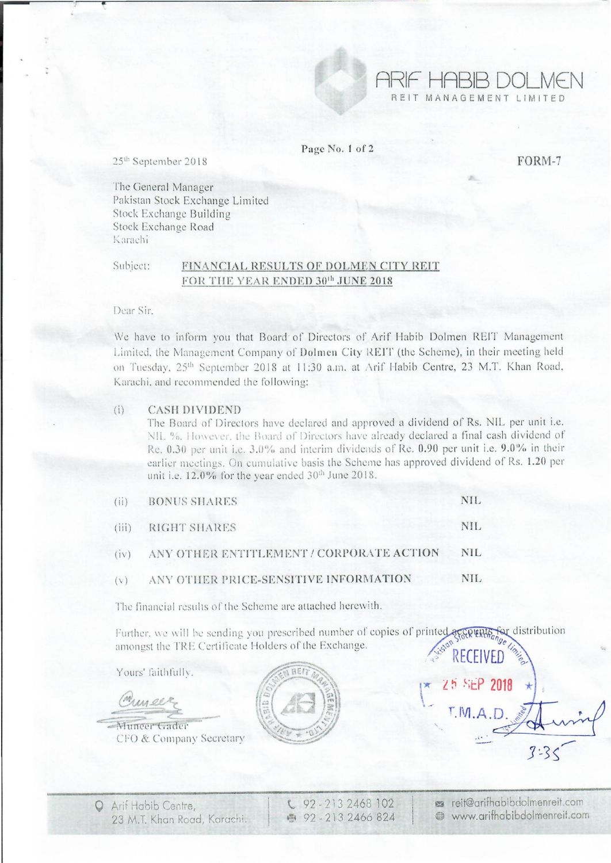

Page No. t of 2

FORM-7

25<sup>th</sup> September 2018

The General Manager Pakistan Stock Exchange Limited Stock. Exchange Building Stock Exchange Road Karachi

## Subject: FINANCIAL RESULTS OF DOLMEN CITY REIT FOR THE YEAR ENDED 30th JUNE 2018

Dear Sir.

We have to inform you that Board of Directors of Arif Habib Dolmen REIT Management Limited, the Management Company of Dolmen City REIT (the Scheme), in their meeting held on Tuesday, 25<sup>th</sup> September 2018 at 11:30 a.m. at Arif Habib Centre, 23 M.T. Khan Road, Karachi. and recommended the following:

## (i) CASH DIVIDEND

The Board of Directors have declared and approved a dividend of Rs. NIL per unit i.e. NIL %. However, the Board of Directors have already declared a final cash dividend of Re. 0.30 per unit i.e. 3.0% and interim dividends of Re. 0.90 per unit i.e. 9.0% in their earlier meetings. On cumulative basis the Scheme has approved dividend of Rs. 1.20 per unit i.e.  $12.0\%$  for the year ended  $30<sup>th</sup>$  June 2018.

| (ii) BONUS SHARES                             | NIL.       |
|-----------------------------------------------|------------|
| (iii) RIGHT SHARES                            | NIL.       |
| (iv) ANY OTHER ENTITLEMENT / CORPORATE ACTION | <b>NIL</b> |
| (v) ANY OTHER PRICE-SENSITIVE INFORMATION     | NIL.       |

The financial results of the Scheme are attached herewith.

Further, we will be sending you prescribed number of copies of printed  $\frac{1}{2}$  will help for distribution amongst the TRE Certificate Holders of the Exchange. RECEIVED

Yours' faithfully.

Muncer Muncer Gader

 $\equiv$ - .- CFO & Company Secretary



92 - 213 2468 102 ~ 92· 213 2466 824 ~ reit@arifhabibdolmenreit.com ® www.arifhabibdolmenreif.com

11(· ~ ~ ~itP **2018** 

 $T.M.A.D$ 

 $\Gamma$